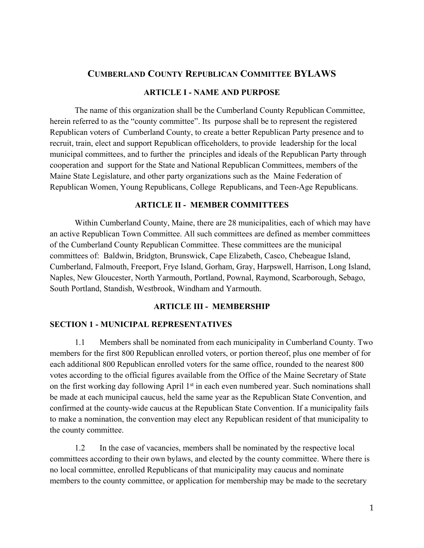# **CUMBERLAND COUNTY REPUBLICAN COMMITTEE BYLAWS**

### **ARTICLE I - NAME AND PURPOSE**

The name of this organization shall be the Cumberland County Republican Committee, herein referred to as the "county committee". Its purpose shall be to represent the registered Republican voters of Cumberland County, to create a better Republican Party presence and to recruit, train, elect and support Republican officeholders, to provide leadership for the local municipal committees, and to further the principles and ideals of the Republican Party through cooperation and support for the State and National Republican Committees, members of the Maine State Legislature, and other party organizations such as the Maine Federation of Republican Women, Young Republicans, College Republicans, and Teen-Age Republicans.

### **ARTICLE II - MEMBER COMMITTEES**

Within Cumberland County, Maine, there are 28 municipalities, each of which may have an active Republican Town Committee. All such committees are defined as member committees of the Cumberland County Republican Committee. These committees are the municipal committees of: Baldwin, Bridgton, Brunswick, Cape Elizabeth, Casco, Chebeague Island, Cumberland, Falmouth, Freeport, Frye Island, Gorham, Gray, Harpswell, Harrison, Long Island, Naples, New Gloucester, North Yarmouth, Portland, Pownal, Raymond, Scarborough, Sebago, South Portland, Standish, Westbrook, Windham and Yarmouth.

### **ARTICLE III - MEMBERSHIP**

#### **SECTION 1 - MUNICIPAL REPRESENTATIVES**

1.1 Members shall be nominated from each municipality in Cumberland County. Two members for the first 800 Republican enrolled voters, or portion thereof, plus one member of for each additional 800 Republican enrolled voters for the same office, rounded to the nearest 800 votes according to the official figures available from the Office of the Maine Secretary of State on the first working day following April 1<sup>st</sup> in each even numbered year. Such nominations shall be made at each municipal caucus, held the same year as the Republican State Convention, and confirmed at the county-wide caucus at the Republican State Convention. If a municipality fails to make a nomination, the convention may elect any Republican resident of that municipality to the county committee.

1.2 In the case of vacancies, members shall be nominated by the respective local committees according to their own bylaws, and elected by the county committee. Where there is no local committee, enrolled Republicans of that municipality may caucus and nominate members to the county committee, or application for membership may be made to the secretary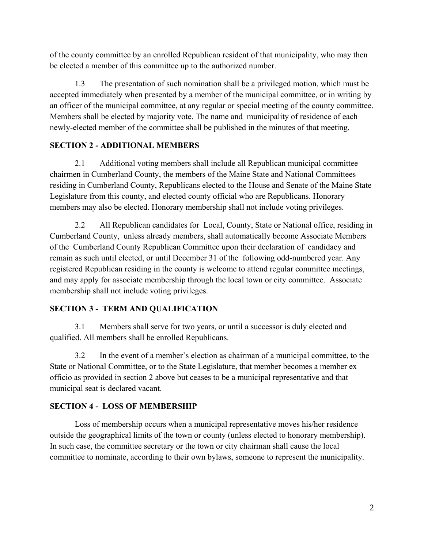of the county committee by an enrolled Republican resident of that municipality, who may then be elected a member of this committee up to the authorized number.

1.3 The presentation of such nomination shall be a privileged motion, which must be accepted immediately when presented by a member of the municipal committee, or in writing by an officer of the municipal committee, at any regular or special meeting of the county committee. Members shall be elected by majority vote. The name and municipality of residence of each newly-elected member of the committee shall be published in the minutes of that meeting.

# **SECTION 2 - ADDITIONAL MEMBERS**

2.1 Additional voting members shall include all Republican municipal committee chairmen in Cumberland County, the members of the Maine State and National Committees residing in Cumberland County, Republicans elected to the House and Senate of the Maine State Legislature from this county, and elected county official who are Republicans. Honorary members may also be elected. Honorary membership shall not include voting privileges.

2.2 All Republican candidates for Local, County, State or National office, residing in Cumberland County, unless already members, shall automatically become Associate Members of the Cumberland County Republican Committee upon their declaration of candidacy and remain as such until elected, or until December 31 of the following odd-numbered year. Any registered Republican residing in the county is welcome to attend regular committee meetings, and may apply for associate membership through the local town or city committee. Associate membership shall not include voting privileges.

# **SECTION 3 - TERM AND QUALIFICATION**

3.1 Members shall serve for two years, or until a successor is duly elected and qualified. All members shall be enrolled Republicans.

3.2 In the event of a member's election as chairman of a municipal committee, to the State or National Committee, or to the State Legislature, that member becomes a member ex officio as provided in section 2 above but ceases to be a municipal representative and that municipal seat is declared vacant.

# **SECTION 4 - LOSS OF MEMBERSHIP**

Loss of membership occurs when a municipal representative moves his/her residence outside the geographical limits of the town or county (unless elected to honorary membership). In such case, the committee secretary or the town or city chairman shall cause the local committee to nominate, according to their own bylaws, someone to represent the municipality.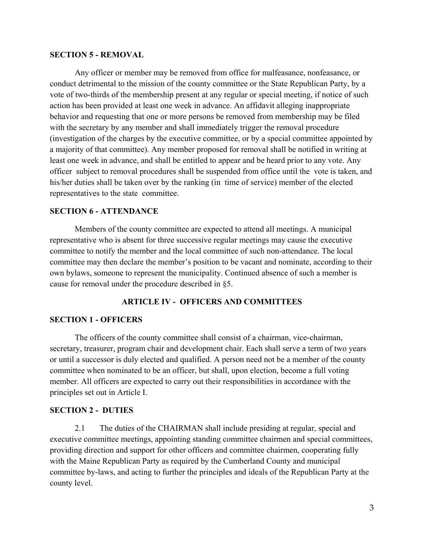### **SECTION 5 - REMOVAL**

Any officer or member may be removed from office for malfeasance, nonfeasance, or conduct detrimental to the mission of the county committee or the State Republican Party, by a vote of two-thirds of the membership present at any regular or special meeting, if notice of such action has been provided at least one week in advance. An affidavit alleging inappropriate behavior and requesting that one or more persons be removed from membership may be filed with the secretary by any member and shall immediately trigger the removal procedure (investigation of the charges by the executive committee, or by a special committee appointed by a majority of that committee). Any member proposed for removal shall be notified in writing at least one week in advance, and shall be entitled to appear and be heard prior to any vote. Any officer subject to removal procedures shall be suspended from office until the vote is taken, and his/her duties shall be taken over by the ranking (in time of service) member of the elected representatives to the state committee.

### **SECTION 6 - ATTENDANCE**

Members of the county committee are expected to attend all meetings. A municipal representative who is absent for three successive regular meetings may cause the executive committee to notify the member and the local committee of such non-attendance. The local committee may then declare the member's position to be vacant and nominate, according to their own bylaws, someone to represent the municipality. Continued absence of such a member is cause for removal under the procedure described in §5.

#### **ARTICLE IV - OFFICERS AND COMMITTEES**

### **SECTION 1 - OFFICERS**

The officers of the county committee shall consist of a chairman, vice-chairman, secretary, treasurer, program chair and development chair. Each shall serve a term of two years or until a successor is duly elected and qualified. A person need not be a member of the county committee when nominated to be an officer, but shall, upon election, become a full voting member. All officers are expected to carry out their responsibilities in accordance with the principles set out in Article I.

#### **SECTION 2 - DUTIES**

2.1 The duties of the CHAIRMAN shall include presiding at regular, special and executive committee meetings, appointing standing committee chairmen and special committees, providing direction and support for other officers and committee chairmen, cooperating fully with the Maine Republican Party as required by the Cumberland County and municipal committee by-laws, and acting to further the principles and ideals of the Republican Party at the county level.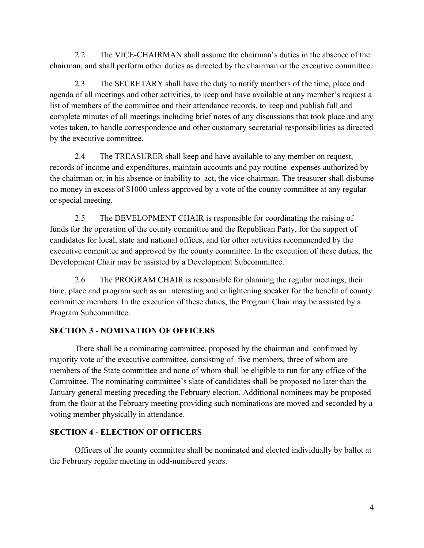2.2 The VICE-CHAIRMAN shall assume the chairman's duties in the absence of the chairman, and shall perform other duties as directed by the chairman or the executive committee.

2.3 The SECRETARY shall have the duty to notify members of the time, place and agenda of all meetings and other activities, to keep and have available at any member's request a list of members of the committee and their attendance records, to keep and publish full and complete minutes of all meetings including brief notes of any discussions that took place and any votes taken, to handle correspondence and other customary secretarial responsibilities as directed by the executive committee.

2.4 The TREASURER shall keep and have available to any member on request, records of income and expenditures, maintain accounts and pay routine expenses authorized by the chairman or, in his absence or inability to act, the vice-chairman. The treasurer shall disburse no money in excess of \$1000 unless approved by a vote of the county committee at any regular or special meeting.

2.5 The DEVELOPMENT CHAIR is responsible for coordinating the raising of funds for the operation of the county committee and the Republican Party, for the support of candidates for local, state and national offices, and for other activities recommended by the executive committee and approved by the county committee. In the execution of these duties, the Development Chair may be assisted by a Development Subcommittee.

2.6 The PROGRAM CHAIR is responsible for planning the regular meetings, their time, place and program such as an interesting and enlightening speaker for the benefit of county committee members. In the execution of these duties, the Program Chair may be assisted by a Program Subcommittee.

# **SECTION 3 - NOMINATION OF OFFICERS**

There shall be a nominating committee, proposed by the chairman and confirmed by majority vote of the executive committee, consisting of five members, three of whom are members of the State committee and none of whom shall be eligible to run for any office of the Committee. The nominating committee's slate of candidates shall be proposed no later than the January general meeting preceding the February election. Additional nominees may be proposed from the floor at the February meeting providing such nominations are moved and seconded by a voting member physically in attendance.

# **SECTION 4 - ELECTION OF OFFICERS**

Officers of the county committee shall be nominated and elected individually by ballot at the February regular meeting in odd-numbered years.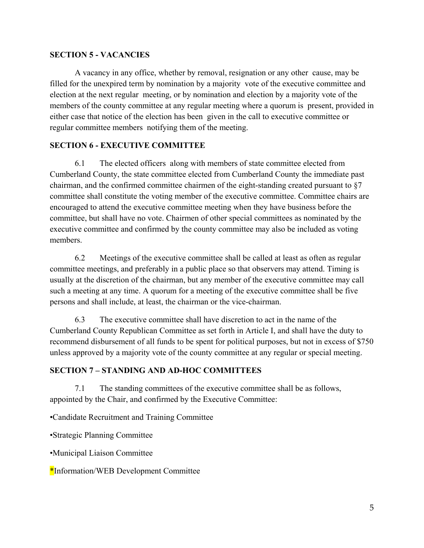# **SECTION 5 - VACANCIES**

A vacancy in any office, whether by removal, resignation or any other cause, may be filled for the unexpired term by nomination by a majority vote of the executive committee and election at the next regular meeting, or by nomination and election by a majority vote of the members of the county committee at any regular meeting where a quorum is present, provided in either case that notice of the election has been given in the call to executive committee or regular committee members notifying them of the meeting.

# **SECTION 6 - EXECUTIVE COMMITTEE**

6.1 The elected officers along with members of state committee elected from Cumberland County, the state committee elected from Cumberland County the immediate past chairman, and the confirmed committee chairmen of the eight-standing created pursuant to §7 committee shall constitute the voting member of the executive committee. Committee chairs are encouraged to attend the executive committee meeting when they have business before the committee, but shall have no vote. Chairmen of other special committees as nominated by the executive committee and confirmed by the county committee may also be included as voting members.

6.2 Meetings of the executive committee shall be called at least as often as regular committee meetings, and preferably in a public place so that observers may attend. Timing is usually at the discretion of the chairman, but any member of the executive committee may call such a meeting at any time. A quorum for a meeting of the executive committee shall be five persons and shall include, at least, the chairman or the vice-chairman.

6.3 The executive committee shall have discretion to act in the name of the Cumberland County Republican Committee as set forth in Article I, and shall have the duty to recommend disbursement of all funds to be spent for political purposes, but not in excess of \$750 unless approved by a majority vote of the county committee at any regular or special meeting.

# **SECTION 7 – STANDING AND AD-HOC COMMITTEES**

7.1 The standing committees of the executive committee shall be as follows, appointed by the Chair, and confirmed by the Executive Committee:

•Candidate Recruitment and Training Committee

•Strategic Planning Committee

•Municipal Liaison Committee

\*Information/WEB Development Committee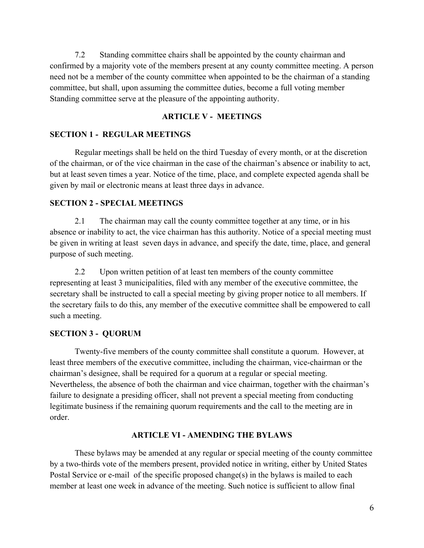7.2 Standing committee chairs shall be appointed by the county chairman and confirmed by a majority vote of the members present at any county committee meeting. A person need not be a member of the county committee when appointed to be the chairman of a standing committee, but shall, upon assuming the committee duties, become a full voting member Standing committee serve at the pleasure of the appointing authority.

## **ARTICLE V - MEETINGS**

### **SECTION 1 - REGULAR MEETINGS**

Regular meetings shall be held on the third Tuesday of every month, or at the discretion of the chairman, or of the vice chairman in the case of the chairman's absence or inability to act, but at least seven times a year. Notice of the time, place, and complete expected agenda shall be given by mail or electronic means at least three days in advance.

## **SECTION 2 - SPECIAL MEETINGS**

2.1 The chairman may call the county committee together at any time, or in his absence or inability to act, the vice chairman has this authority. Notice of a special meeting must be given in writing at least seven days in advance, and specify the date, time, place, and general purpose of such meeting.

2.2 Upon written petition of at least ten members of the county committee representing at least 3 municipalities, filed with any member of the executive committee, the secretary shall be instructed to call a special meeting by giving proper notice to all members. If the secretary fails to do this, any member of the executive committee shall be empowered to call such a meeting.

#### **SECTION 3 - QUORUM**

Twenty-five members of the county committee shall constitute a quorum. However, at least three members of the executive committee, including the chairman, vice-chairman or the chairman's designee, shall be required for a quorum at a regular or special meeting. Nevertheless, the absence of both the chairman and vice chairman, together with the chairman's failure to designate a presiding officer, shall not prevent a special meeting from conducting legitimate business if the remaining quorum requirements and the call to the meeting are in order.

### **ARTICLE VI - AMENDING THE BYLAWS**

These bylaws may be amended at any regular or special meeting of the county committee by a two-thirds vote of the members present, provided notice in writing, either by United States Postal Service or e-mail of the specific proposed change(s) in the bylaws is mailed to each member at least one week in advance of the meeting. Such notice is sufficient to allow final